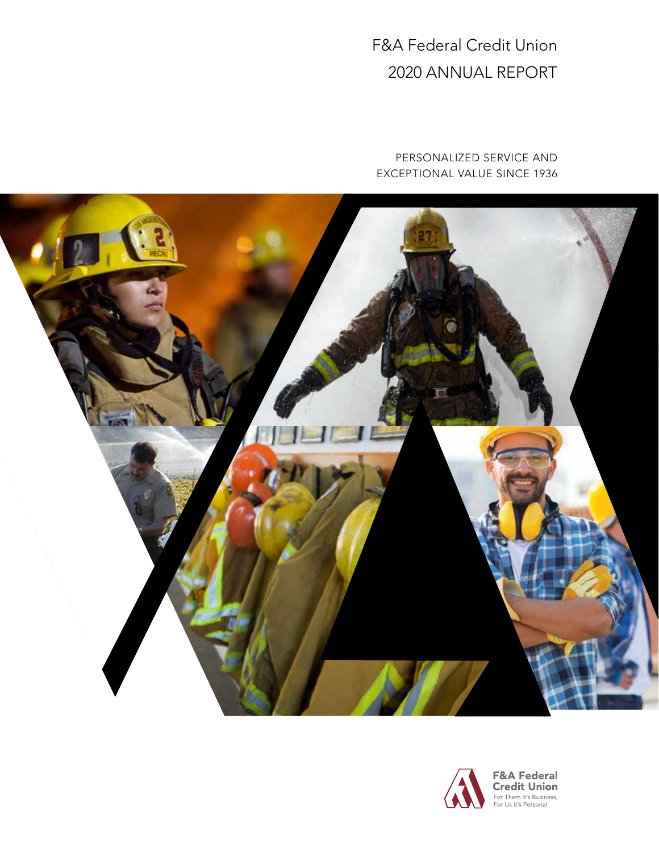F&A Federal Credit Union 2020 ANNUAL REPORT

PERSONALIZED SERVICE AND EXCEPTIONAL VALUE SINCE 1936



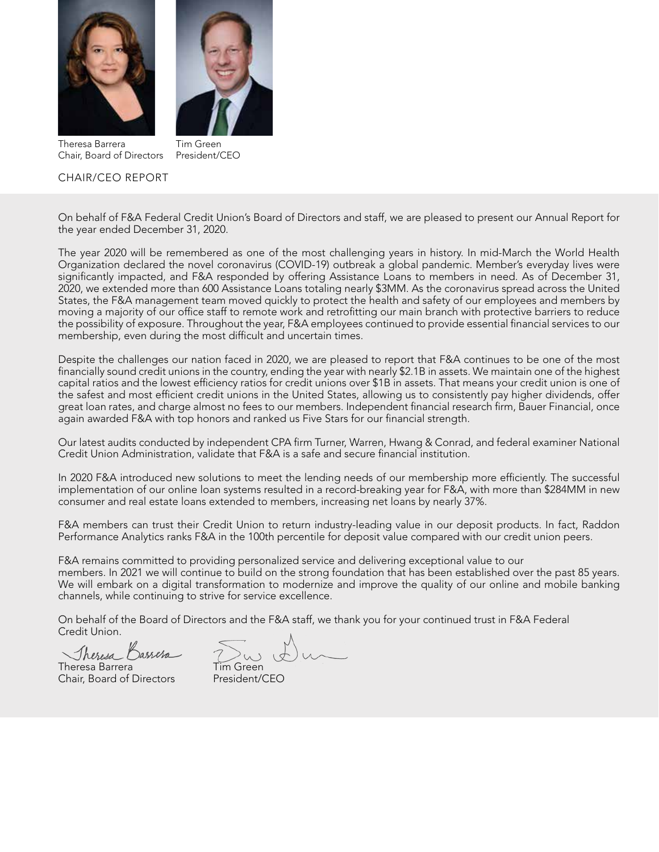



Theresa Barrera Chair, Board of Directors

Tim Green

# CHAIR/CEO REPORT

President/CEO

On behalf of F&A Federal Credit Union's Board of Directors and staff, we are pleased to present our Annual Report for the year ended December 31, 2020.

The year 2020 will be remembered as one of the most challenging years in history. In mid-March the World Health Organization declared the novel coronavirus (COVID-19) outbreak a global pandemic. Member's everyday lives were significantly impacted, and F&A responded by offering Assistance Loans to members in need. As of December 31, 2020, we extended more than 600 Assistance Loans totaling nearly \$3MM. As the coronavirus spread across the United States, the F&A management team moved quickly to protect the health and safety of our employees and members by moving a majority of our office staff to remote work and retrofitting our main branch with protective barriers to reduce the possibility of exposure. Throughout the year, F&A employees continued to provide essential financial services to our membership, even during the most difficult and uncertain times.

Despite the challenges our nation faced in 2020, we are pleased to report that F&A continues to be one of the most financially sound credit unions in the country, ending the year with nearly \$2.1B in assets. We maintain one of the highest capital ratios and the lowest efficiency ratios for credit unions over \$1B in assets. That means your credit union is one of the safest and most efficient credit unions in the United States, allowing us to consistently pay higher dividends, offer great loan rates, and charge almost no fees to our members. Independent financial research firm, Bauer Financial, once again awarded F&A with top honors and ranked us Five Stars for our financial strength.

Our latest audits conducted by independent CPA firm Turner, Warren, Hwang & Conrad, and federal examiner National Credit Union Administration, validate that F&A is a safe and secure financial institution.

In 2020 F&A introduced new solutions to meet the lending needs of our membership more efficiently. The successful implementation of our online loan systems resulted in a record-breaking year for F&A, with more than \$284MM in new consumer and real estate loans extended to members, increasing net loans by nearly 37%.

F&A members can trust their Credit Union to return industry-leading value in our deposit products. In fact, Raddon Performance Analytics ranks F&A in the 100th percentile for deposit value compared with our credit union peers.

F&A remains committed to providing personalized service and delivering exceptional value to our members. In 2021 we will continue to build on the strong foundation that has been established over the past 85 years. We will embark on a digital transformation to modernize and improve the quality of our online and mobile banking channels, while continuing to strive for service excellence.

On behalf of the Board of Directors and the F&A staff, we thank you for your continued trust in F&A Federal Credit Union.

Theresa

Theresa Barrera Chair, Board of Directors President/CEO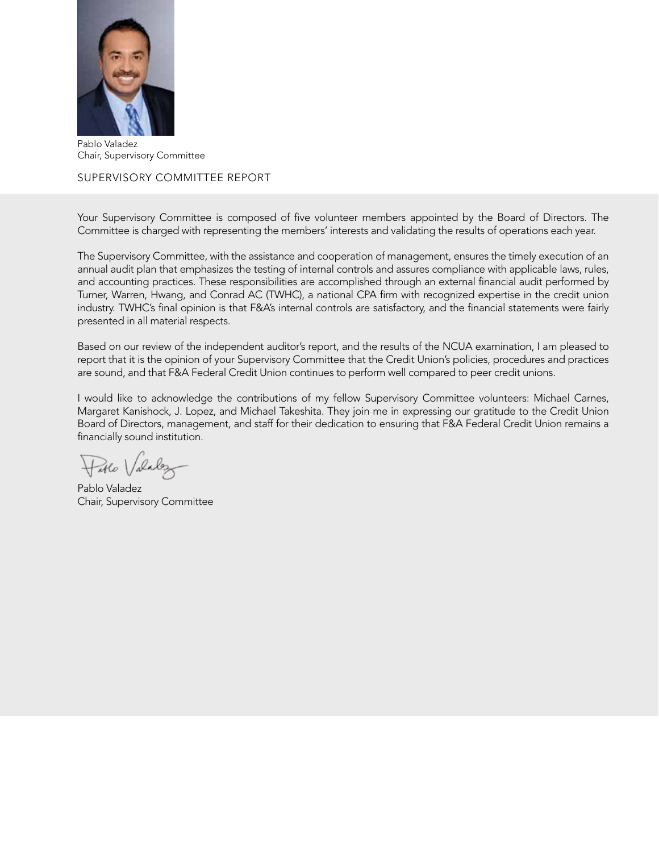

Pablo Valadez Chair, Supervisory Committee

# SUPERVISORY COMMITTEE REPORT

Your Supervisory Committee is composed of five volunteer members appointed by the Board of Directors. The Committee is charged with representing the members' interests and validating the results of operations each year.

The Supervisory Committee, with the assistance and cooperation of management, ensures the timely execution of an annual audit plan that emphasizes the testing of internal controls and assures compliance with applicable laws, rules, and accounting practices. These responsibilities are accomplished through an external financial audit performed by Turner, Warren, Hwang, and Conrad AC (TWHC), a national CPA firm with recognized expertise in the credit union industry. TWHC's final opinion is that F&A's internal controls are satisfactory, and the financial statements were fairly presented in all material respects.

Based on our review of the independent auditor's report, and the results of the NCUA examination, I am pleased to report that it is the opinion of your Supervisory Committee that the Credit Union's policies, procedures and practices are sound, and that F&A Federal Credit Union continues to perform well compared to peer credit unions.

I would like to acknowledge the contributions of my fellow Supervisory Committee volunteers: Michael Carnes, Margaret Kanishock, J. Lopez, and Michael Takeshita. They join me in expressing our gratitude to the Credit Union Board of Directors, management, and staff for their dedication to ensuring that F&A Federal Credit Union remains a financially sound institution.

Hable Valalez

Pablo Valadez Chair, Supervisory Committee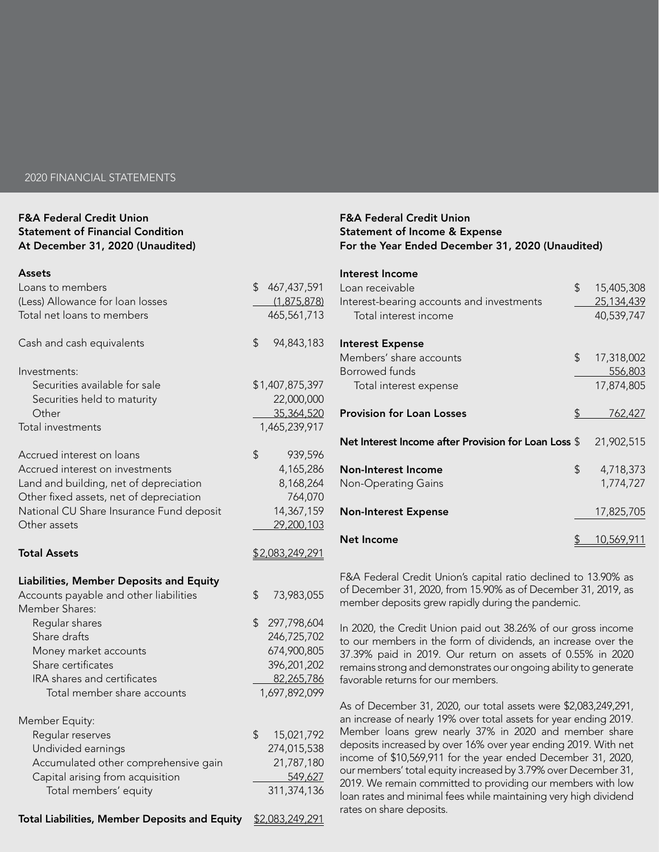#### 2020 FINANCIAL STATEMENTS

## F&A Federal Credit Union Statement of Financial Condition At December 31, 2020 (Unaudited)

#### Assets

| Loans to members                                     | 467, 437, 591<br>\$ |  |
|------------------------------------------------------|---------------------|--|
| (Less) Allowance for loan losses                     | (1,875,878)         |  |
| Total net loans to members                           | 465,561,713         |  |
|                                                      |                     |  |
| Cash and cash equivalents                            | \$<br>94,843,183    |  |
|                                                      |                     |  |
| Investments:                                         |                     |  |
| Securities available for sale                        | \$1,407,875,397     |  |
| Securities held to maturity                          | 22,000,000          |  |
| Other                                                | 35,364,520          |  |
| Total investments                                    | 1,465,239,917       |  |
| Accrued interest on loans                            | \$<br>939,596       |  |
| Accrued interest on investments                      | 4,165,286           |  |
| Land and building, net of depreciation               | 8,168,264           |  |
| Other fixed assets, net of depreciation              | 764,070             |  |
| National CU Share Insurance Fund deposit             | 14,367,159          |  |
|                                                      |                     |  |
| Other assets                                         | 29,200,103          |  |
| <b>Total Assets</b>                                  | \$2,083,249,291     |  |
|                                                      |                     |  |
| Liabilities, Member Deposits and Equity              |                     |  |
| Accounts payable and other liabilities               | \$<br>73,983,055    |  |
| Member Shares:                                       |                     |  |
| Regular shares                                       | \$<br>297,798,604   |  |
| Share drafts                                         | 246,725,702         |  |
| Money market accounts                                | 674,900,805         |  |
| Share certificates                                   | 396,201,202         |  |
| IRA shares and certificates                          | 82,265,786          |  |
| Total member share accounts                          | 1,697,892,099       |  |
|                                                      |                     |  |
| Member Equity:                                       |                     |  |
| Regular reserves                                     | \$<br>15,021,792    |  |
| Undivided earnings                                   | 274,015,538         |  |
| Accumulated other comprehensive gain                 | 21,787,180          |  |
| Capital arising from acquisition                     | 549,627             |  |
| Total members' equity                                | 311,374,136         |  |
| <b>Total Liabilities, Member Deposits and Equity</b> | \$2,083,249,291     |  |
|                                                      |                     |  |

### F&A Federal Credit Union Statement of Income & Expense For the Year Ended December 31, 2020 (Unaudited)

| Interest Income                                      |                         |
|------------------------------------------------------|-------------------------|
| Loan receivable                                      | \$<br>15,405,308        |
| Interest-bearing accounts and investments            | 25,134,439              |
| Total interest income                                | 40,539,747              |
| <b>Interest Expense</b>                              |                         |
| Members' share accounts                              | \$<br>17,318,002        |
| Borrowed funds                                       | 556,803                 |
| Total interest expense                               | 17,874,805              |
| <b>Provision for Loan Losses</b>                     | \$<br><u>762,427</u>    |
| Net Interest Income after Provision for Loan Loss \$ | 21,902,515              |
| Non-Interest Income                                  | \$<br>4,718,373         |
| Non-Operating Gains                                  | 1,774,727               |
| <b>Non-Interest Expense</b>                          | 17,825,705              |
| <b>Net Income</b>                                    | \$<br><u>10,569,911</u> |

F&A Federal Credit Union's capital ratio declined to 13.90% as of December 31, 2020, from 15.90% as of December 31, 2019, as member deposits grew rapidly during the pandemic.

In 2020, the Credit Union paid out 38.26% of our gross income to our members in the form of dividends, an increase over the 37.39% paid in 2019. Our return on assets of 0.55% in 2020 remains strong and demonstrates our ongoing ability to generate favorable returns for our members.

As of December 31, 2020, our total assets were \$2,083,249,291, an increase of nearly 19% over total assets for year ending 2019. Member loans grew nearly 37% in 2020 and member share deposits increased by over 16% over year ending 2019. With net income of \$10,569,911 for the year ended December 31, 2020, our members' total equity increased by 3.79% over December 31, 2019. We remain committed to providing our members with low loan rates and minimal fees while maintaining very high dividend rates on share deposits.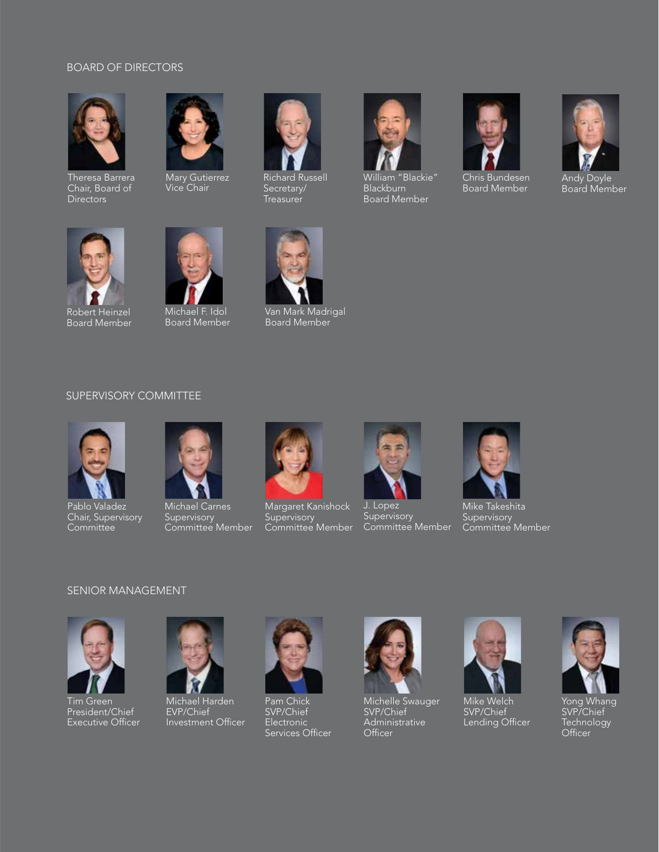### BOARD OF DIRECTORS



Theresa Barrera Chair, Board of **Directors** 



Mary Gutierrez Vice Chair



Richard Russell Secretary/ Treasurer



William "Blackie" Blackburn Board Member



Chris Bundesen Board Member



Andy Doyle Board Member



Robert Heinzel Board Member



Board Member



Van Mark Madrigal Board Member

## SUPERVISORY COMMITTEE



Pablo Valadez Chair, Supervisory Committee



Michael Carnes **Supervisory** Committee Member



Margaret Kanishock **Supervisory** Committee Member



J. Lopez **Supervisory** Committee Member



Mike Takeshita **Supervisory** Committee Member

### SENIOR MANAGEMENT



Tim Green President/Chief Executive Officer



Michael Harden EVP/Chief Investment Officer



Pam Chick SVP/Chief Electronic Services Officer



Michelle Swauger SVP/Chief Administrative Officer



Mike Welch SVP/Chief Lending Officer



Yong Whang SVP/Chief Technology Officer